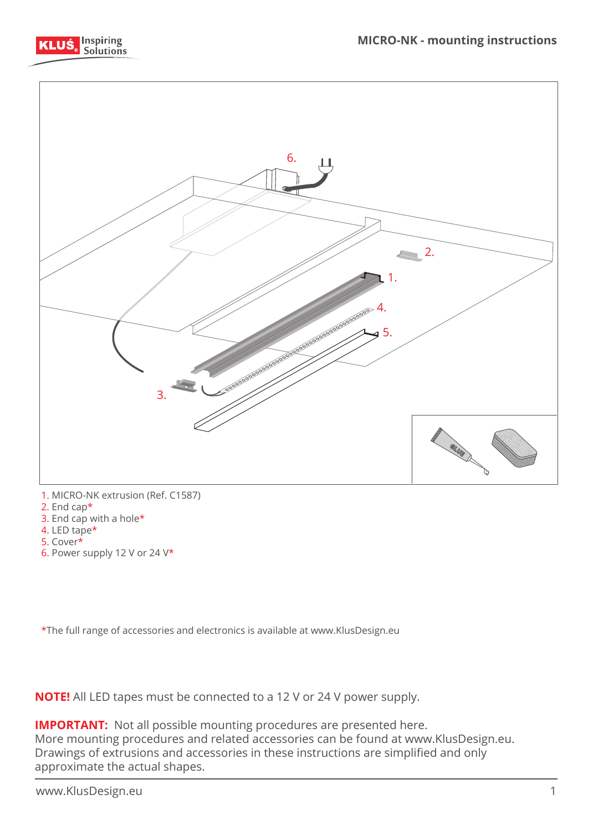



- 1. MICRO-NK extrusion (Ref. C1587)
- 2. End cap\*
- 3. End cap with a hole\*
- 4. LED tape\* 5. Cover\*
- 6. Power supply 12 V or 24 V\*

\*The full range of accessories and electronics is available at www.KlusDesign.eu

**NOTE!** All LED tapes must be connected to a 12 V or 24 V power supply.

**IMPORTANT:** Not all possible mounting procedures are presented here. More mounting procedures and related accessories can be found at www.KlusDesign.eu. Drawings of extrusions and accessories in these instructions are simplified and only approximate the actual shapes.